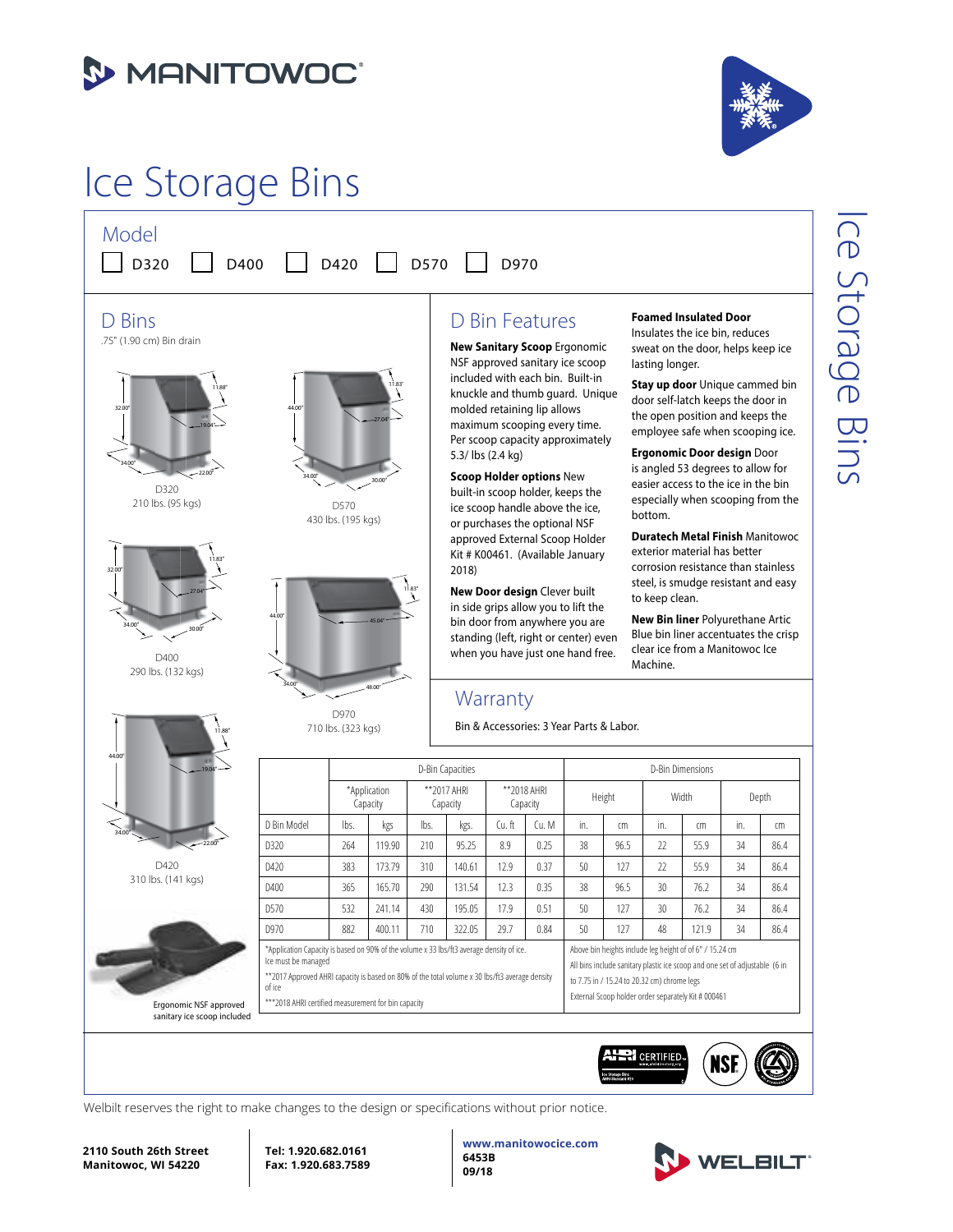

## Ice Storage Bins





D320 210 lbs. (95 kgs)





11.88"

44.00"

34.00"



D970 710 lbs. (323 kgs)

### D Bin Features

**New Sanitary Scoop** Ergonomic NSF approved sanitary ice scoop included with each bin. Built-in knuckle and thumb guard. Unique molded retaining lip allows maximum scooping every time. Per scoop capacity approximately 5.3/ lbs (2.4 kg)

**Scoop Holder options** New built-in scoop holder, keeps the ice scoop handle above the ice, or purchases the optional NSF approved External Scoop Holder Kit # K00461. (Available January 2018)

**New Door design** Clever built in side grips allow you to lift the bin door from anywhere you are standing (left, right or center) even when you have just one hand free.

### **Warranty**

Bin & Accessories: 3 Year Parts & Labor.

### **Foamed Insulated Door**

Insulates the ice bin, reduces sweat on the door, helps keep ice lasting longer.

**Stay up door** Unique cammed bin door self-latch keeps the door in the open position and keeps the employee safe when scooping ice.

**Ergonomic Door design** Door is angled 53 degrees to allow for easier access to the ice in the bin especially when scooping from the bottom.

**Duratech Metal Finish** Manitowoc exterior material has better corrosion resistance than stainless steel, is smudge resistant and easy to keep clean.

**New Bin liner** Polyurethane Artic Blue bin liner accentuates the crisp clear ice from a Manitowoc Ice Machine.

# Ice Storage Bins ce Storage Bins



|                                                       |                                                                                                                                                                                                                              |                          |        |                          | D-Bin Capacities |                         |       | D-Bin Dimensions |                                                                                                                                                                                        |              |       |       |      |  |  |
|-------------------------------------------------------|------------------------------------------------------------------------------------------------------------------------------------------------------------------------------------------------------------------------------|--------------------------|--------|--------------------------|------------------|-------------------------|-------|------------------|----------------------------------------------------------------------------------------------------------------------------------------------------------------------------------------|--------------|-------|-------|------|--|--|
|                                                       |                                                                                                                                                                                                                              | *Application<br>Capacity |        | ** 2017 AHRI<br>Capacity |                  | **2018 AHRI<br>Capacity |       | Height           |                                                                                                                                                                                        | <b>Width</b> |       | Depth |      |  |  |
|                                                       | D Bin Model                                                                                                                                                                                                                  | lbs.                     | kgs    | lbs.                     | kgs.             | Cu.ft                   | Cu. M | in.              | cm                                                                                                                                                                                     | in.          | cm    | in.   | cm   |  |  |
|                                                       | D320                                                                                                                                                                                                                         | 264                      | 119.90 | 210                      | 95.25            | 8.9                     | 0.25  | 38               | 96.5                                                                                                                                                                                   | 22           | 55.9  | 34    | 86.4 |  |  |
| D420                                                  | D420                                                                                                                                                                                                                         | 383                      | 173.79 | 310                      | 140.61           | 12.9                    | 0.37  | 50               | 127                                                                                                                                                                                    | 22           | 55.9  | 34    | 86.4 |  |  |
| 310 lbs. (141 kgs)                                    | D400                                                                                                                                                                                                                         | 365                      | 165.70 | 290                      | 131.54           | 12.3                    | 0.35  | 38               | 96.5                                                                                                                                                                                   | 30           | 76.2  | 34    | 86.4 |  |  |
|                                                       | D570                                                                                                                                                                                                                         | 532                      | 241.14 | 430                      | 195.05           | 17.9                    | 0.51  | 50               | 127                                                                                                                                                                                    | 30           | 76.2  | 34    | 86.4 |  |  |
|                                                       | D970                                                                                                                                                                                                                         | 882                      | 400.11 | 710                      | 322.05           | 29.7                    | 0.84  | 50               | 127                                                                                                                                                                                    | 48           | 121.9 | 34    | 86.4 |  |  |
|                                                       | *Application Capacity is based on 90% of the volume x 33 lbs/ft3 average density of ice.<br>Ice must be managed<br>** 2017 Approved AHRI capacity is based on 80% of the total volume x 30 lbs/ft3 average density<br>of ice |                          |        |                          |                  |                         |       |                  | Above bin heights include leg height of of 6" / 15.24 cm<br>All bins include sanitary plastic ice scoop and one set of adjustable (6 in<br>to 7.75 in / 15.24 to 20.32 cm) chrome legs |              |       |       |      |  |  |
| Ergonomic NSF approved<br>sanitary ice scoop included | External Scoop holder order separately Kit # 000461<br>*** 2018 AHRI certified measurement for bin capacity                                                                                                                  |                          |        |                          |                  |                         |       |                  |                                                                                                                                                                                        |              |       |       |      |  |  |



Welbilt reserves the right to make changes to the design or specifications without prior notice.



**Tel: 1.920.682.0161 Fax: 1.920.683.7589**

**www.manitowocice.com 6453B 09/18**